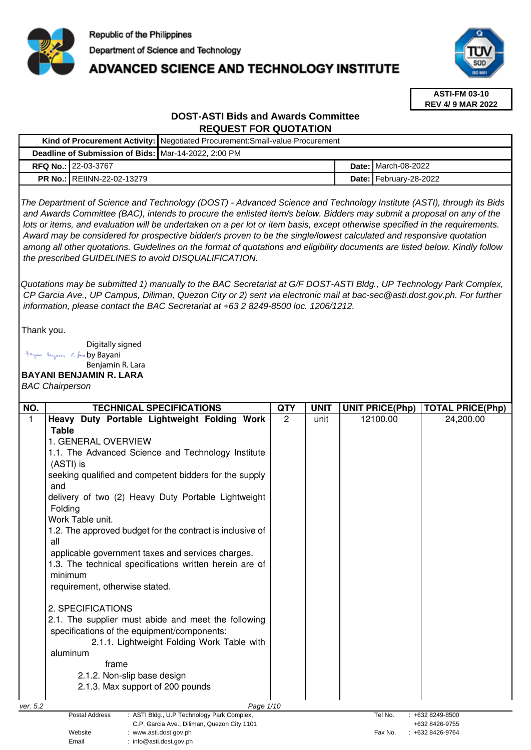

# **ADVANCED SCIENCE AND TECHNOLOGY INSTITUTE**



**ASTI-FM 03-10 REV 4/ 9 MAR 2022**

# **DOST-ASTI Bids and Awards Committee REQUEST FOR QUOTATION**

| Kind of Procurement Activity: Negotiated Procurement: Small-value Procurement |                                                      |  |                               |
|-------------------------------------------------------------------------------|------------------------------------------------------|--|-------------------------------|
|                                                                               | Deadline of Submission of Bids: Mar-14-2022, 2:00 PM |  |                               |
|                                                                               | <b>RFQ No.: 22-03-3767</b>                           |  | <b>Date: I</b> March-08-2022  |
|                                                                               | <b>PR No.: REIINN-22-02-13279</b>                    |  | <b>Date: February-28-2022</b> |

The Department of Science and Technology (DOST) - Advanced Science and Technology Institute (ASTI), through its Bids and Awards Committee (BAC), intends to procure the enlisted item/s below. Bidders may submit a proposal on any of the lots or items, and evaluation will be undertaken on a per lot or item basis, except otherwise specified in the requirements. Award may be considered for prospective bidder/s proven to be the single/lowest calculated and responsive quotation among all other quotations. Guidelines on the format of quotations and eligibility documents are listed below. Kindly follow the prescribed GUIDELINES to avoid DISQUALIFICATION.

Quotations may be submitted 1) manually to the BAC Secretariat at G/F DOST-ASTI Bldg., UP Technology Park Complex, CP Garcia Ave., UP Campus, Diliman, Quezon City or 2) sent via electronic mail at bac-sec@asti.dost.gov.ph. For further information, please contact the BAC Secretariat at +63 2 8249-8500 loc. 1206/1212.

Thank you.

Digitally signed Bayani Benjamin R. fan by Bayani Benjamin R. Lara

## **BAYANI BENJAMIN R. LARA**

BAC Chairperson

| NO.      | <b>TECHNICAL SPECIFICATIONS</b>                                                  | <b>QTY</b> | <b>UNIT</b> | <b>UNIT PRICE(Php)</b> | <b>TOTAL PRICE(Php)</b> |
|----------|----------------------------------------------------------------------------------|------------|-------------|------------------------|-------------------------|
| 1        | Heavy Duty Portable Lightweight Folding Work                                     | 2          | unit        | 12100.00               | 24,200.00               |
|          | <b>Table</b>                                                                     |            |             |                        |                         |
|          | 1. GENERAL OVERVIEW                                                              |            |             |                        |                         |
|          | 1.1. The Advanced Science and Technology Institute                               |            |             |                        |                         |
|          | (ASTI) is                                                                        |            |             |                        |                         |
|          | seeking qualified and competent bidders for the supply                           |            |             |                        |                         |
|          | and                                                                              |            |             |                        |                         |
|          | delivery of two (2) Heavy Duty Portable Lightweight                              |            |             |                        |                         |
|          | Folding                                                                          |            |             |                        |                         |
|          | Work Table unit.                                                                 |            |             |                        |                         |
|          | 1.2. The approved budget for the contract is inclusive of                        |            |             |                        |                         |
|          | all                                                                              |            |             |                        |                         |
|          | applicable government taxes and services charges.                                |            |             |                        |                         |
|          | 1.3. The technical specifications written herein are of                          |            |             |                        |                         |
|          | minimum                                                                          |            |             |                        |                         |
|          | requirement, otherwise stated.                                                   |            |             |                        |                         |
|          | 2. SPECIFICATIONS                                                                |            |             |                        |                         |
|          | 2.1. The supplier must abide and meet the following                              |            |             |                        |                         |
|          | specifications of the equipment/components:                                      |            |             |                        |                         |
|          | 2.1.1. Lightweight Folding Work Table with                                       |            |             |                        |                         |
|          | aluminum                                                                         |            |             |                        |                         |
|          | frame                                                                            |            |             |                        |                         |
|          | 2.1.2. Non-slip base design                                                      |            |             |                        |                         |
|          | 2.1.3. Max support of 200 pounds                                                 |            |             |                        |                         |
|          |                                                                                  |            |             |                        |                         |
| ver. 5.2 | Page 1/10<br><b>Postal Address</b><br>: ASTI Bldg., U.P Technology Park Complex, |            |             | Tel No.                | $: +6328249 - 8500$     |
|          | C.P. Garcia Ave., Diliman, Quezon City 1101                                      |            |             |                        | +632 8426-9755          |
|          | Website<br>: www.asti.dost.gov.ph                                                |            |             | Fax No.                | +632 8426-9764          |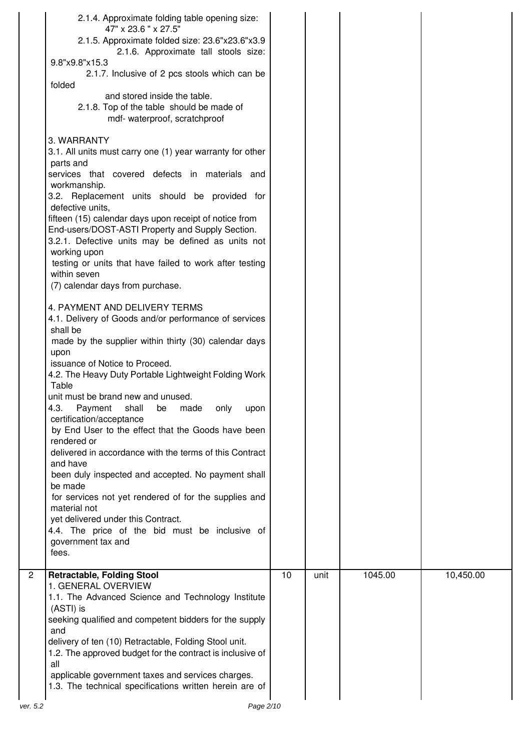|                       | 2.1.4. Approximate folding table opening size:                                                               |    |      |         |           |
|-----------------------|--------------------------------------------------------------------------------------------------------------|----|------|---------|-----------|
|                       | 47" x 23.6 " x 27.5"<br>2.1.5. Approximate folded size: 23.6"x23.6"x3.9                                      |    |      |         |           |
|                       | 2.1.6. Approximate tall stools size:                                                                         |    |      |         |           |
|                       | 9.8"x9.8"x15.3                                                                                               |    |      |         |           |
|                       | 2.1.7. Inclusive of 2 pcs stools which can be                                                                |    |      |         |           |
| folded                |                                                                                                              |    |      |         |           |
|                       | and stored inside the table.                                                                                 |    |      |         |           |
|                       | 2.1.8. Top of the table should be made of                                                                    |    |      |         |           |
|                       | mdf- waterproof, scratchproof                                                                                |    |      |         |           |
|                       | 3. WARRANTY                                                                                                  |    |      |         |           |
|                       | 3.1. All units must carry one (1) year warranty for other                                                    |    |      |         |           |
| parts and             |                                                                                                              |    |      |         |           |
|                       | services that covered defects in materials and                                                               |    |      |         |           |
|                       | workmanship.                                                                                                 |    |      |         |           |
|                       | 3.2. Replacement units should be provided for                                                                |    |      |         |           |
|                       | defective units,                                                                                             |    |      |         |           |
|                       | fifteen (15) calendar days upon receipt of notice from                                                       |    |      |         |           |
|                       | End-users/DOST-ASTI Property and Supply Section.<br>3.2.1. Defective units may be defined as units not       |    |      |         |           |
|                       | working upon                                                                                                 |    |      |         |           |
|                       | testing or units that have failed to work after testing                                                      |    |      |         |           |
|                       | within seven                                                                                                 |    |      |         |           |
|                       | (7) calendar days from purchase.                                                                             |    |      |         |           |
|                       |                                                                                                              |    |      |         |           |
|                       | 4. PAYMENT AND DELIVERY TERMS                                                                                |    |      |         |           |
| shall be              | 4.1. Delivery of Goods and/or performance of services                                                        |    |      |         |           |
|                       | made by the supplier within thirty (30) calendar days                                                        |    |      |         |           |
| upon                  |                                                                                                              |    |      |         |           |
|                       | issuance of Notice to Proceed.                                                                               |    |      |         |           |
|                       | 4.2. The Heavy Duty Portable Lightweight Folding Work                                                        |    |      |         |           |
| Table                 |                                                                                                              |    |      |         |           |
|                       | unit must be brand new and unused.                                                                           |    |      |         |           |
| 4.3.                  | Payment<br>shall<br>made<br>only<br>upon<br>be                                                               |    |      |         |           |
|                       | certification/acceptance<br>by End User to the effect that the Goods have been                               |    |      |         |           |
|                       | rendered or                                                                                                  |    |      |         |           |
|                       | delivered in accordance with the terms of this Contract                                                      |    |      |         |           |
|                       |                                                                                                              |    |      |         |           |
| and have              |                                                                                                              |    |      |         |           |
|                       | been duly inspected and accepted. No payment shall                                                           |    |      |         |           |
| be made               |                                                                                                              |    |      |         |           |
|                       | for services not yet rendered of for the supplies and                                                        |    |      |         |           |
|                       | material not                                                                                                 |    |      |         |           |
|                       | yet delivered under this Contract.                                                                           |    |      |         |           |
|                       | 4.4. The price of the bid must be inclusive of                                                               |    |      |         |           |
| fees.                 | government tax and                                                                                           |    |      |         |           |
|                       |                                                                                                              |    |      |         |           |
|                       | <b>Retractable, Folding Stool</b>                                                                            | 10 | unit | 1045.00 | 10,450.00 |
|                       | 1. GENERAL OVERVIEW                                                                                          |    |      |         |           |
|                       | 1.1. The Advanced Science and Technology Institute                                                           |    |      |         |           |
| (ASTI) is             | seeking qualified and competent bidders for the supply                                                       |    |      |         |           |
| and                   |                                                                                                              |    |      |         |           |
|                       | delivery of ten (10) Retractable, Folding Stool unit.                                                        |    |      |         |           |
|                       | 1.2. The approved budget for the contract is inclusive of                                                    |    |      |         |           |
| $\overline{2}$<br>all |                                                                                                              |    |      |         |           |
|                       | applicable government taxes and services charges.<br>1.3. The technical specifications written herein are of |    |      |         |           |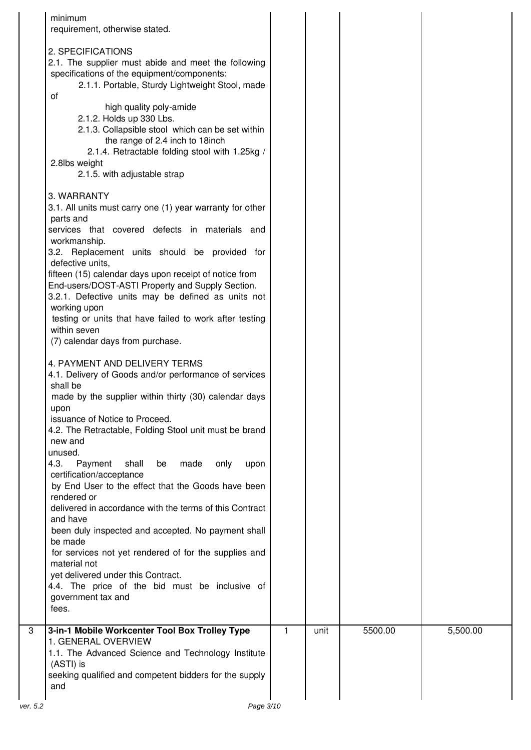| minimum<br>requirement, otherwise stated.                                              |   |      |         |          |
|----------------------------------------------------------------------------------------|---|------|---------|----------|
|                                                                                        |   |      |         |          |
| 2. SPECIFICATIONS                                                                      |   |      |         |          |
| 2.1. The supplier must abide and meet the following                                    |   |      |         |          |
| specifications of the equipment/components:                                            |   |      |         |          |
| 2.1.1. Portable, Sturdy Lightweight Stool, made<br>οf                                  |   |      |         |          |
| high quality poly-amide                                                                |   |      |         |          |
| 2.1.2. Holds up 330 Lbs.                                                               |   |      |         |          |
| 2.1.3. Collapsible stool which can be set within                                       |   |      |         |          |
| the range of 2.4 inch to 18inch                                                        |   |      |         |          |
| 2.1.4. Retractable folding stool with 1.25kg /                                         |   |      |         |          |
| 2.8lbs weight<br>2.1.5. with adjustable strap                                          |   |      |         |          |
|                                                                                        |   |      |         |          |
| 3. WARRANTY                                                                            |   |      |         |          |
| 3.1. All units must carry one (1) year warranty for other                              |   |      |         |          |
| parts and                                                                              |   |      |         |          |
| services that covered defects in materials and<br>workmanship.                         |   |      |         |          |
| 3.2. Replacement units should be provided for                                          |   |      |         |          |
| defective units.                                                                       |   |      |         |          |
| fifteen (15) calendar days upon receipt of notice from                                 |   |      |         |          |
| End-users/DOST-ASTI Property and Supply Section.                                       |   |      |         |          |
| 3.2.1. Defective units may be defined as units not                                     |   |      |         |          |
| working upon<br>testing or units that have failed to work after testing                |   |      |         |          |
| within seven                                                                           |   |      |         |          |
| (7) calendar days from purchase.                                                       |   |      |         |          |
|                                                                                        |   |      |         |          |
| 4. PAYMENT AND DELIVERY TERMS<br>4.1. Delivery of Goods and/or performance of services |   |      |         |          |
| shall be                                                                               |   |      |         |          |
| made by the supplier within thirty (30) calendar days                                  |   |      |         |          |
| upon                                                                                   |   |      |         |          |
| issuance of Notice to Proceed.                                                         |   |      |         |          |
| 4.2. The Retractable, Folding Stool unit must be brand<br>new and                      |   |      |         |          |
| unused.                                                                                |   |      |         |          |
| 4.3.<br>shall<br>made<br>Payment<br>be<br>only<br>upon                                 |   |      |         |          |
| certification/acceptance                                                               |   |      |         |          |
| by End User to the effect that the Goods have been                                     |   |      |         |          |
| rendered or                                                                            |   |      |         |          |
| delivered in accordance with the terms of this Contract<br>and have                    |   |      |         |          |
| been duly inspected and accepted. No payment shall                                     |   |      |         |          |
| be made                                                                                |   |      |         |          |
| for services not yet rendered of for the supplies and                                  |   |      |         |          |
| material not                                                                           |   |      |         |          |
| yet delivered under this Contract.                                                     |   |      |         |          |
| 4.4. The price of the bid must be inclusive of<br>government tax and                   |   |      |         |          |
| fees.                                                                                  |   |      |         |          |
| 3-in-1 Mobile Workcenter Tool Box Trolley Type                                         | 1 | unit | 5500.00 | 5,500.00 |
| 1. GENERAL OVERVIEW                                                                    |   |      |         |          |
| 1.1. The Advanced Science and Technology Institute                                     |   |      |         |          |
| (ASTI) is                                                                              |   |      |         |          |
| seeking qualified and competent bidders for the supply                                 |   |      |         |          |
| and                                                                                    |   |      |         |          |
| Page 3/10                                                                              |   |      |         |          |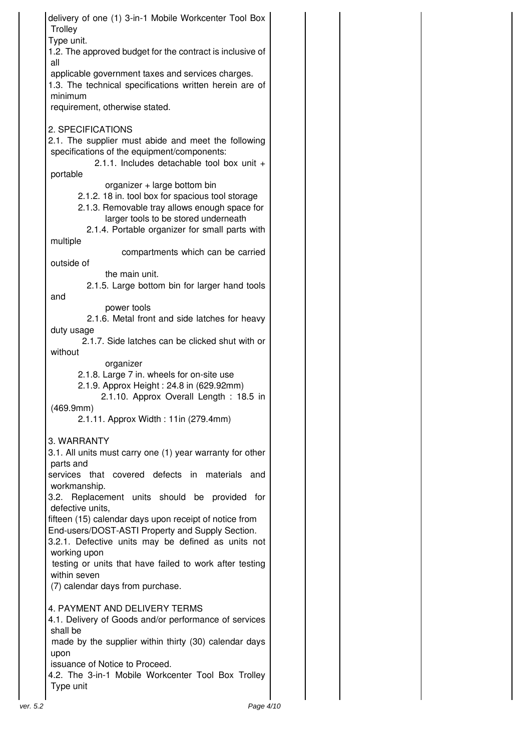delivery of one (1) 3-in-1 Mobile Workcenter Tool Box **Trolley** Type unit. 1.2. The approved budget for the contract is inclusive of all applicable government taxes and services charges. 1.3. The technical specifications written herein are of minimum requirement, otherwise stated. 2. SPECIFICATIONS 2.1. The supplier must abide and meet the following specifications of the equipment/components: 2.1.1. Includes detachable tool box unit + portable organizer + large bottom bin 2.1.2. 18 in. tool box for spacious tool storage 2.1.3. Removable tray allows enough space for larger tools to be stored underneath 2.1.4. Portable organizer for small parts with multiple compartments which can be carried outside of the main unit. 2.1.5. Large bottom bin for larger hand tools and power tools 2.1.6. Metal front and side latches for heavy duty usage 2.1.7. Side latches can be clicked shut with or without organizer 2.1.8. Large 7 in. wheels for on-site use 2.1.9. Approx Height : 24.8 in (629.92mm) 2.1.10. Approx Overall Length : 18.5 in (469.9mm) 2.1.11. Approx Width : 11in (279.4mm) 3. WARRANTY 3.1. All units must carry one (1) year warranty for other parts and services that covered defects in materials and workmanship. 3.2. Replacement units should be provided for defective units, fifteen (15) calendar days upon receipt of notice from End-users/DOST-ASTI Property and Supply Section. 3.2.1. Defective units may be defined as units not working upon testing or units that have failed to work after testing within seven (7) calendar days from purchase. 4. PAYMENT AND DELIVERY TERMS 4.1. Delivery of Goods and/or performance of services shall be made by the supplier within thirty (30) calendar days upon issuance of Notice to Proceed. 4.2. The 3-in-1 Mobile Workcenter Tool Box Trolley Type unit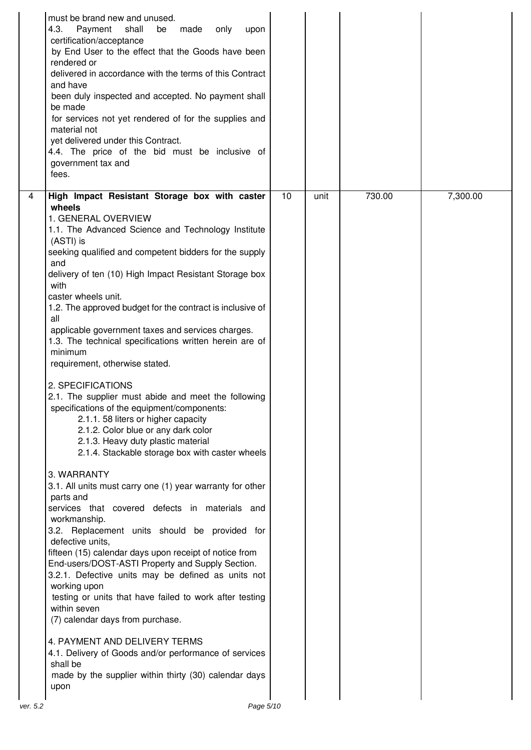|          | must be brand new and unused.<br>Payment<br>4.3.<br>shall<br>made<br>only<br>be<br>upon<br>certification/acceptance<br>by End User to the effect that the Goods have been<br>rendered or<br>delivered in accordance with the terms of this Contract<br>and have<br>been duly inspected and accepted. No payment shall<br>be made<br>for services not yet rendered of for the supplies and<br>material not<br>yet delivered under this Contract.<br>4.4. The price of the bid must be inclusive of<br>government tax and<br>fees.                                                                                                                                                                                                                                                                                                                                                                                                                                                                                                                                                                                                                                                                                                                                                                                                                                                                                                                                                                                                                         |    |      |        |          |
|----------|----------------------------------------------------------------------------------------------------------------------------------------------------------------------------------------------------------------------------------------------------------------------------------------------------------------------------------------------------------------------------------------------------------------------------------------------------------------------------------------------------------------------------------------------------------------------------------------------------------------------------------------------------------------------------------------------------------------------------------------------------------------------------------------------------------------------------------------------------------------------------------------------------------------------------------------------------------------------------------------------------------------------------------------------------------------------------------------------------------------------------------------------------------------------------------------------------------------------------------------------------------------------------------------------------------------------------------------------------------------------------------------------------------------------------------------------------------------------------------------------------------------------------------------------------------|----|------|--------|----------|
| 4        | High Impact Resistant Storage box with caster<br>wheels<br>1. GENERAL OVERVIEW<br>1.1. The Advanced Science and Technology Institute<br>(ASTI) is<br>seeking qualified and competent bidders for the supply<br>and<br>delivery of ten (10) High Impact Resistant Storage box<br>with<br>caster wheels unit.<br>1.2. The approved budget for the contract is inclusive of<br>all<br>applicable government taxes and services charges.<br>1.3. The technical specifications written herein are of<br>minimum<br>requirement, otherwise stated.<br>2. SPECIFICATIONS<br>2.1. The supplier must abide and meet the following<br>specifications of the equipment/components:<br>2.1.1. 58 liters or higher capacity<br>2.1.2. Color blue or any dark color<br>2.1.3. Heavy duty plastic material<br>2.1.4. Stackable storage box with caster wheels<br>3. WARRANTY<br>3.1. All units must carry one (1) year warranty for other<br>parts and<br>services that covered defects in materials and<br>workmanship.<br>3.2. Replacement units should be provided for<br>defective units,<br>fifteen (15) calendar days upon receipt of notice from<br>End-users/DOST-ASTI Property and Supply Section.<br>3.2.1. Defective units may be defined as units not<br>working upon<br>testing or units that have failed to work after testing<br>within seven<br>(7) calendar days from purchase.<br>4. PAYMENT AND DELIVERY TERMS<br>4.1. Delivery of Goods and/or performance of services<br>shall be<br>made by the supplier within thirty (30) calendar days<br>upon | 10 | unit | 730.00 | 7,300.00 |
| ver. 5.2 | Page 5/10                                                                                                                                                                                                                                                                                                                                                                                                                                                                                                                                                                                                                                                                                                                                                                                                                                                                                                                                                                                                                                                                                                                                                                                                                                                                                                                                                                                                                                                                                                                                                |    |      |        |          |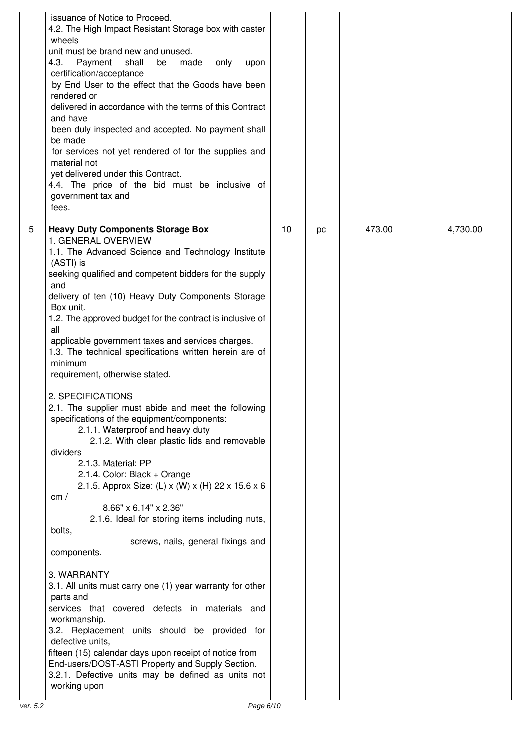|          | issuance of Notice to Proceed.<br>4.2. The High Impact Resistant Storage box with caster<br>wheels<br>unit must be brand new and unused.<br>4.3.<br>Payment<br>shall<br>be<br>made<br>only<br>upon<br>certification/acceptance<br>by End User to the effect that the Goods have been<br>rendered or<br>delivered in accordance with the terms of this Contract<br>and have<br>been duly inspected and accepted. No payment shall<br>be made<br>for services not yet rendered of for the supplies and<br>material not<br>yet delivered under this Contract.<br>4.4. The price of the bid must be inclusive of<br>government tax and<br>fees.                                                                                                                                                                                                                                                                                                                                                                                                                                                                                                                                                                                                                                                                                                                                                                         |    |    |        |          |
|----------|---------------------------------------------------------------------------------------------------------------------------------------------------------------------------------------------------------------------------------------------------------------------------------------------------------------------------------------------------------------------------------------------------------------------------------------------------------------------------------------------------------------------------------------------------------------------------------------------------------------------------------------------------------------------------------------------------------------------------------------------------------------------------------------------------------------------------------------------------------------------------------------------------------------------------------------------------------------------------------------------------------------------------------------------------------------------------------------------------------------------------------------------------------------------------------------------------------------------------------------------------------------------------------------------------------------------------------------------------------------------------------------------------------------------|----|----|--------|----------|
| 5        | <b>Heavy Duty Components Storage Box</b><br>1. GENERAL OVERVIEW<br>1.1. The Advanced Science and Technology Institute<br>(ASTI) is<br>seeking qualified and competent bidders for the supply<br>and<br>delivery of ten (10) Heavy Duty Components Storage<br>Box unit.<br>1.2. The approved budget for the contract is inclusive of<br>all<br>applicable government taxes and services charges.<br>1.3. The technical specifications written herein are of<br>minimum<br>requirement, otherwise stated.<br>2. SPECIFICATIONS<br>2.1. The supplier must abide and meet the following<br>specifications of the equipment/components:<br>2.1.1. Waterproof and heavy duty<br>2.1.2. With clear plastic lids and removable<br>dividers<br>2.1.3. Material: PP<br>2.1.4. Color: Black + Orange<br>2.1.5. Approx Size: (L) x (W) x (H) 22 x 15.6 x 6<br>cm/<br>8.66" x 6.14" x 2.36"<br>2.1.6. Ideal for storing items including nuts,<br>bolts,<br>screws, nails, general fixings and<br>components.<br>3. WARRANTY<br>3.1. All units must carry one (1) year warranty for other<br>parts and<br>services that covered defects in materials and<br>workmanship.<br>3.2. Replacement units should be provided for<br>defective units,<br>fifteen (15) calendar days upon receipt of notice from<br>End-users/DOST-ASTI Property and Supply Section.<br>3.2.1. Defective units may be defined as units not<br>working upon | 10 | pc | 473.00 | 4,730.00 |
| ver. 5.2 | Page 6/10                                                                                                                                                                                                                                                                                                                                                                                                                                                                                                                                                                                                                                                                                                                                                                                                                                                                                                                                                                                                                                                                                                                                                                                                                                                                                                                                                                                                           |    |    |        |          |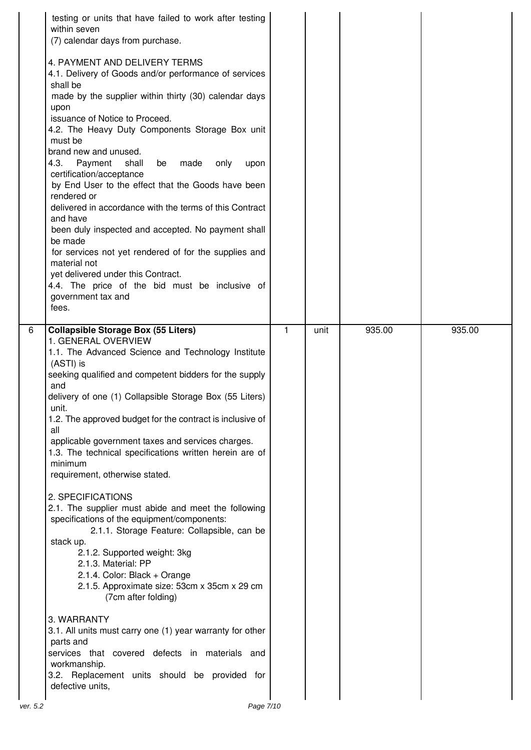| 6 | (7) calendar days from purchase.<br>4. PAYMENT AND DELIVERY TERMS<br>4.1. Delivery of Goods and/or performance of services<br>shall be<br>made by the supplier within thirty (30) calendar days<br>upon<br>issuance of Notice to Proceed.<br>4.2. The Heavy Duty Components Storage Box unit<br>must be<br>brand new and unused.<br>4.3. Payment<br>shall<br>made<br>be<br>only<br>upon<br>certification/acceptance<br>by End User to the effect that the Goods have been<br>rendered or<br>delivered in accordance with the terms of this Contract<br>and have<br>been duly inspected and accepted. No payment shall<br>be made<br>for services not yet rendered of for the supplies and<br>material not<br>yet delivered under this Contract.<br>4.4. The price of the bid must be inclusive of<br>government tax and<br>fees.<br><b>Collapsible Storage Box (55 Liters)</b><br>1. GENERAL OVERVIEW<br>1.1. The Advanced Science and Technology Institute          | 1 | unit | 935.00 | 935.00 |
|---|----------------------------------------------------------------------------------------------------------------------------------------------------------------------------------------------------------------------------------------------------------------------------------------------------------------------------------------------------------------------------------------------------------------------------------------------------------------------------------------------------------------------------------------------------------------------------------------------------------------------------------------------------------------------------------------------------------------------------------------------------------------------------------------------------------------------------------------------------------------------------------------------------------------------------------------------------------------------|---|------|--------|--------|
|   | (ASTI) is<br>seeking qualified and competent bidders for the supply<br>and<br>delivery of one (1) Collapsible Storage Box (55 Liters)<br>unit.<br>1.2. The approved budget for the contract is inclusive of<br>all<br>applicable government taxes and services charges.<br>1.3. The technical specifications written herein are of<br>minimum<br>requirement, otherwise stated.<br>2. SPECIFICATIONS<br>2.1. The supplier must abide and meet the following<br>specifications of the equipment/components:<br>2.1.1. Storage Feature: Collapsible, can be<br>stack up.<br>2.1.2. Supported weight: 3kg<br>2.1.3. Material: PP<br>2.1.4. Color: Black + Orange<br>2.1.5. Approximate size: 53cm x 35cm x 29 cm<br>(7cm after folding)<br>3. WARRANTY<br>3.1. All units must carry one (1) year warranty for other<br>parts and<br>services that covered defects in materials and<br>workmanship.<br>3.2. Replacement units should be provided for<br>defective units, |   |      |        |        |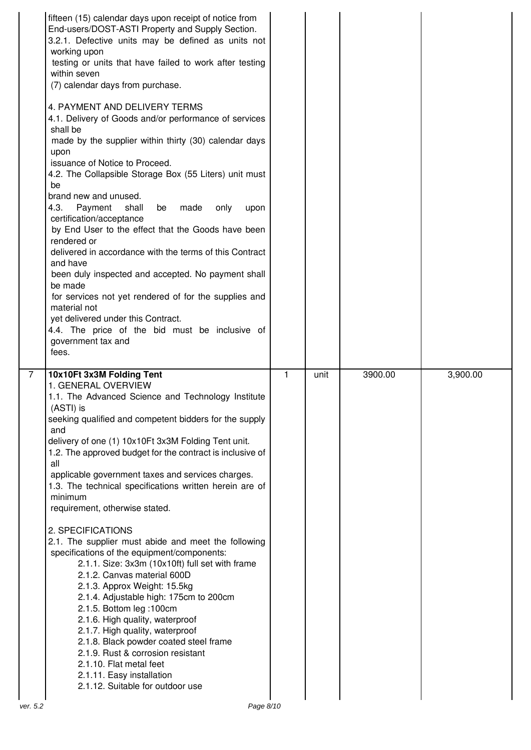|          | fifteen (15) calendar days upon receipt of notice from<br>End-users/DOST-ASTI Property and Supply Section.<br>3.2.1. Defective units may be defined as units not<br>working upon<br>testing or units that have failed to work after testing<br>within seven<br>(7) calendar days from purchase.<br>4. PAYMENT AND DELIVERY TERMS<br>4.1. Delivery of Goods and/or performance of services<br>shall be<br>made by the supplier within thirty (30) calendar days<br>upon<br>issuance of Notice to Proceed.<br>4.2. The Collapsible Storage Box (55 Liters) unit must<br>be<br>brand new and unused.<br>4.3.<br>shall<br>made<br>Payment<br>be<br>only<br>upon<br>certification/acceptance<br>by End User to the effect that the Goods have been<br>rendered or<br>delivered in accordance with the terms of this Contract<br>and have<br>been duly inspected and accepted. No payment shall<br>be made<br>for services not yet rendered of for the supplies and<br>material not<br>yet delivered under this Contract.<br>4.4. The price of the bid must be inclusive of<br>government tax and<br>fees. |   |      |         |          |
|----------|------------------------------------------------------------------------------------------------------------------------------------------------------------------------------------------------------------------------------------------------------------------------------------------------------------------------------------------------------------------------------------------------------------------------------------------------------------------------------------------------------------------------------------------------------------------------------------------------------------------------------------------------------------------------------------------------------------------------------------------------------------------------------------------------------------------------------------------------------------------------------------------------------------------------------------------------------------------------------------------------------------------------------------------------------------------------------------------------------|---|------|---------|----------|
| 7        | 10x10Ft 3x3M Folding Tent<br>1. GENERAL OVERVIEW<br>1.1. The Advanced Science and Technology Institute<br>(ASTI) is<br>seeking qualified and competent bidders for the supply<br>and<br>delivery of one (1) 10x10Ft 3x3M Folding Tent unit.<br>1.2. The approved budget for the contract is inclusive of<br>all<br>applicable government taxes and services charges.<br>1.3. The technical specifications written herein are of<br>minimum<br>requirement, otherwise stated.<br>2. SPECIFICATIONS<br>2.1. The supplier must abide and meet the following<br>specifications of the equipment/components:<br>2.1.1. Size: 3x3m (10x10ft) full set with frame<br>2.1.2. Canvas material 600D<br>2.1.3. Approx Weight: 15.5kg<br>2.1.4. Adjustable high: 175cm to 200cm<br>2.1.5. Bottom leg :100cm<br>2.1.6. High quality, waterproof<br>2.1.7. High quality, waterproof<br>2.1.8. Black powder coated steel frame<br>2.1.9. Rust & corrosion resistant<br>2.1.10. Flat metal feet<br>2.1.11. Easy installation<br>2.1.12. Suitable for outdoor use                                                     | 1 | unit | 3900.00 | 3,900.00 |
| ver. 5.2 | Page 8/10                                                                                                                                                                                                                                                                                                                                                                                                                                                                                                                                                                                                                                                                                                                                                                                                                                                                                                                                                                                                                                                                                            |   |      |         |          |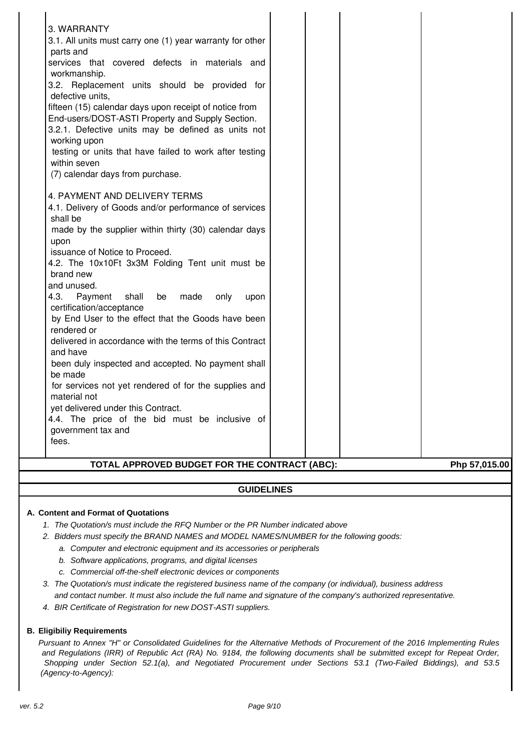| 3. WARRANTY                                               |  |               |
|-----------------------------------------------------------|--|---------------|
| 3.1. All units must carry one (1) year warranty for other |  |               |
| parts and                                                 |  |               |
| services that covered defects in materials and            |  |               |
| workmanship.                                              |  |               |
| 3.2. Replacement units should be provided for             |  |               |
| defective units,                                          |  |               |
| fifteen (15) calendar days upon receipt of notice from    |  |               |
| End-users/DOST-ASTI Property and Supply Section.          |  |               |
| 3.2.1. Defective units may be defined as units not        |  |               |
| working upon                                              |  |               |
| testing or units that have failed to work after testing   |  |               |
| within seven                                              |  |               |
| (7) calendar days from purchase.                          |  |               |
|                                                           |  |               |
| 4. PAYMENT AND DELIVERY TERMS                             |  |               |
| 4.1. Delivery of Goods and/or performance of services     |  |               |
| shall be                                                  |  |               |
| made by the supplier within thirty (30) calendar days     |  |               |
| upon                                                      |  |               |
| issuance of Notice to Proceed.                            |  |               |
| 4.2. The 10x10Ft 3x3M Folding Tent unit must be           |  |               |
| brand new                                                 |  |               |
| and unused.                                               |  |               |
| 4.3.<br>shall<br>made<br>Payment<br>be<br>only<br>upon    |  |               |
| certification/acceptance                                  |  |               |
| by End User to the effect that the Goods have been        |  |               |
| rendered or                                               |  |               |
| delivered in accordance with the terms of this Contract   |  |               |
| and have                                                  |  |               |
| been duly inspected and accepted. No payment shall        |  |               |
| be made                                                   |  |               |
| for services not yet rendered of for the supplies and     |  |               |
| material not                                              |  |               |
| yet delivered under this Contract.                        |  |               |
| 4.4. The price of the bid must be inclusive of            |  |               |
| government tax and                                        |  |               |
| fees.                                                     |  |               |
|                                                           |  |               |
| TOTAL APPROVED BUDGET FOR THE CONTRACT (ABC):             |  | Php 57,015.00 |

### **GUIDELINES**

#### **A. Content and Format of Quotations**

- 1. The Quotation/s must include the RFQ Number or the PR Number indicated above
- 2. Bidders must specify the BRAND NAMES and MODEL NAMES/NUMBER for the following goods:
	- a. Computer and electronic equipment and its accessories or peripherals
	- b. Software applications, programs, and digital licenses
	- c. Commercial off-the-shelf electronic devices or components
- 3. The Quotation/s must indicate the registered business name of the company (or individual), business address and contact number. It must also include the full name and signature of the company's authorized representative.
- 4. BIR Certificate of Registration for new DOST-ASTI suppliers.

#### **B. Eligibiliy Requirements**

Pursuant to Annex "H" or Consolidated Guidelines for the Alternative Methods of Procurement of the 2016 Implementing Rules and Regulations (IRR) of Republic Act (RA) No. 9184, the following documents shall be submitted except for Repeat Order, Shopping under Section 52.1(a), and Negotiated Procurement under Sections 53.1 (Two-Failed Biddings), and 53.5 (Agency-to-Agency):